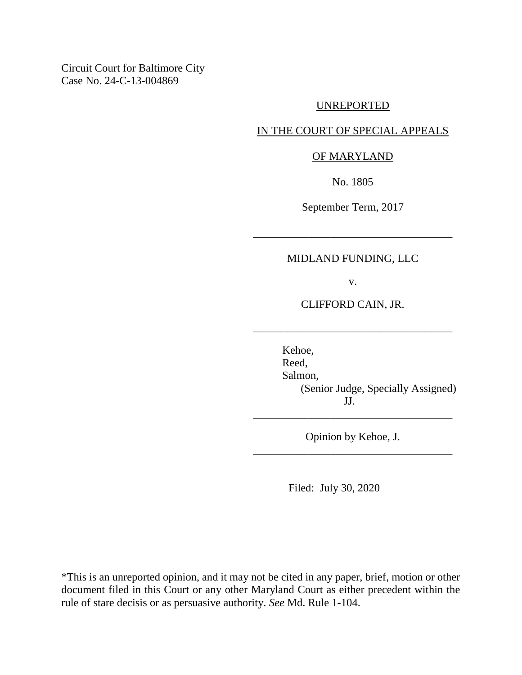Circuit Court for Baltimore City Case No. 24-C-13-004869

## UNREPORTED

## IN THE COURT OF SPECIAL APPEALS

## OF MARYLAND

No. 1805

September Term, 2017

\_\_\_\_\_\_\_\_\_\_\_\_\_\_\_\_\_\_\_\_\_\_\_\_\_\_\_\_\_\_\_\_\_\_\_\_

# MIDLAND FUNDING, LLC

v.

CLIFFORD CAIN, JR.

\_\_\_\_\_\_\_\_\_\_\_\_\_\_\_\_\_\_\_\_\_\_\_\_\_\_\_\_\_\_\_\_\_\_\_\_

Kehoe, Reed, Salmon, (Senior Judge, Specially Assigned) JJ.

Opinion by Kehoe, J. \_\_\_\_\_\_\_\_\_\_\_\_\_\_\_\_\_\_\_\_\_\_\_\_\_\_\_\_\_\_\_\_\_\_\_\_

\_\_\_\_\_\_\_\_\_\_\_\_\_\_\_\_\_\_\_\_\_\_\_\_\_\_\_\_\_\_\_\_\_\_\_\_

Filed: July 30, 2020

\*This is an unreported opinion, and it may not be cited in any paper, brief, motion or other document filed in this Court or any other Maryland Court as either precedent within the rule of stare decisis or as persuasive authority. *See* Md. Rule 1-104.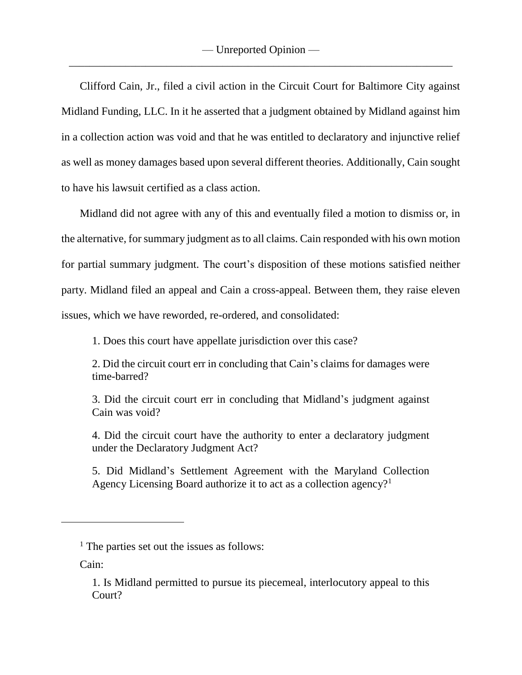Clifford Cain, Jr., filed a civil action in the Circuit Court for Baltimore City against Midland Funding, LLC. In it he asserted that a judgment obtained by Midland against him in a collection action was void and that he was entitled to declaratory and injunctive relief as well as money damages based upon several different theories. Additionally, Cain sought to have his lawsuit certified as a class action.

Midland did not agree with any of this and eventually filed a motion to dismiss or, in the alternative, for summary judgment as to all claims. Cain responded with his own motion for partial summary judgment. The court's disposition of these motions satisfied neither party. Midland filed an appeal and Cain a cross-appeal. Between them, they raise eleven issues, which we have reworded, re-ordered, and consolidated:

1. Does this court have appellate jurisdiction over this case?

2. Did the circuit court err in concluding that Cain's claims for damages were time-barred?

3. Did the circuit court err in concluding that Midland's judgment against Cain was void?

4. Did the circuit court have the authority to enter a declaratory judgment under the Declaratory Judgment Act?

5. Did Midland's Settlement Agreement with the Maryland Collection Agency Licensing Board authorize it to act as a collection agency?<sup>1</sup>

Cain:

 $<sup>1</sup>$  The parties set out the issues as follows:</sup>

<sup>1.</sup> Is Midland permitted to pursue its piecemeal, interlocutory appeal to this Court?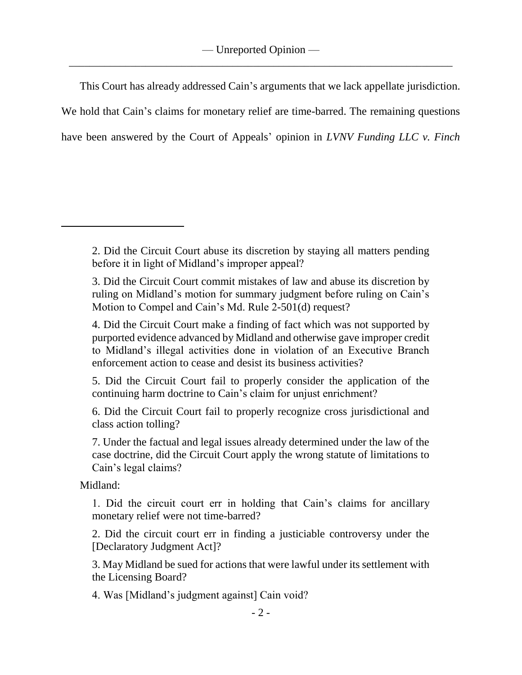This Court has already addressed Cain's arguments that we lack appellate jurisdiction. We hold that Cain's claims for monetary relief are time-barred. The remaining questions have been answered by the Court of Appeals' opinion in *LVNV Funding LLC v. Finch*

5. Did the Circuit Court fail to properly consider the application of the continuing harm doctrine to Cain's claim for unjust enrichment?

6. Did the Circuit Court fail to properly recognize cross jurisdictional and class action tolling?

7. Under the factual and legal issues already determined under the law of the case doctrine, did the Circuit Court apply the wrong statute of limitations to Cain's legal claims?

Midland:

1. Did the circuit court err in holding that Cain's claims for ancillary monetary relief were not time-barred?

2. Did the circuit court err in finding a justiciable controversy under the [Declaratory Judgment Act]?

3. May Midland be sued for actions that were lawful under its settlement with the Licensing Board?

4. Was [Midland's judgment against] Cain void?

<sup>2.</sup> Did the Circuit Court abuse its discretion by staying all matters pending before it in light of Midland's improper appeal?

<sup>3.</sup> Did the Circuit Court commit mistakes of law and abuse its discretion by ruling on Midland's motion for summary judgment before ruling on Cain's Motion to Compel and Cain's Md. Rule 2-501(d) request?

<sup>4.</sup> Did the Circuit Court make a finding of fact which was not supported by purported evidence advanced by Midland and otherwise gave improper credit to Midland's illegal activities done in violation of an Executive Branch enforcement action to cease and desist its business activities?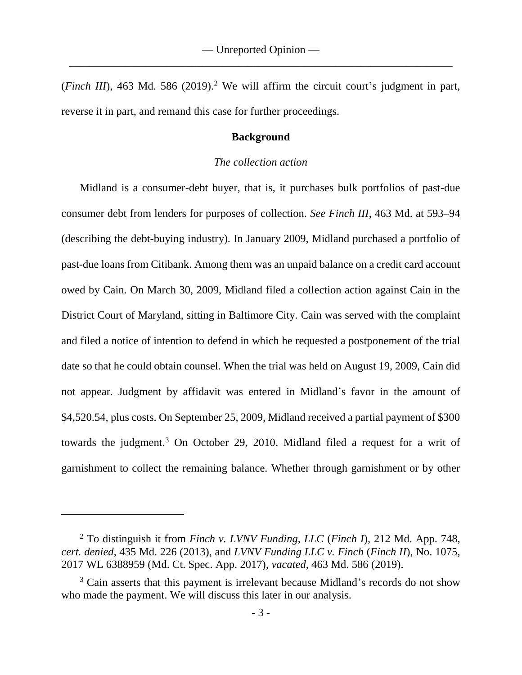(*Finch III*), 463 Md. 586 (2019). <sup>2</sup> We will affirm the circuit court's judgment in part, reverse it in part, and remand this case for further proceedings.

### **Background**

#### *The collection action*

Midland is a consumer-debt buyer, that is, it purchases bulk portfolios of past-due consumer debt from lenders for purposes of collection. *See Finch III*, 463 Md. at 593–94 (describing the debt-buying industry). In January 2009, Midland purchased a portfolio of past-due loans from Citibank. Among them was an unpaid balance on a credit card account owed by Cain. On March 30, 2009, Midland filed a collection action against Cain in the District Court of Maryland, sitting in Baltimore City. Cain was served with the complaint and filed a notice of intention to defend in which he requested a postponement of the trial date so that he could obtain counsel. When the trial was held on August 19, 2009, Cain did not appear. Judgment by affidavit was entered in Midland's favor in the amount of \$4,520.54, plus costs. On September 25, 2009, Midland received a partial payment of \$300 towards the judgment.<sup>3</sup> On October 29, 2010, Midland filed a request for a writ of garnishment to collect the remaining balance. Whether through garnishment or by other

<sup>2</sup> To distinguish it from *Finch v. LVNV Funding, LLC* (*Finch I*), 212 Md. App. 748, *cert. denied*, 435 Md. 226 (2013), and *LVNV Funding LLC v. Finch* (*Finch II*), No. 1075, 2017 WL 6388959 (Md. Ct. Spec. App. 2017), *vacated*, 463 Md. 586 (2019).

<sup>&</sup>lt;sup>3</sup> Cain asserts that this payment is irrelevant because Midland's records do not show who made the payment. We will discuss this later in our analysis.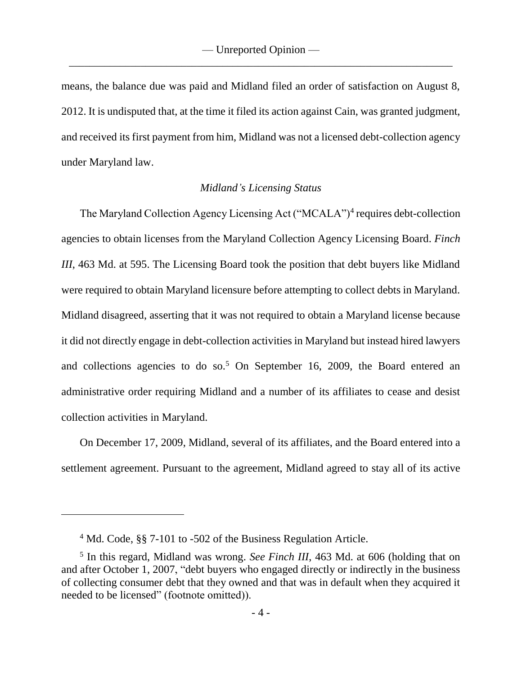means, the balance due was paid and Midland filed an order of satisfaction on August 8, 2012. It is undisputed that, at the time it filed its action against Cain, was granted judgment, and received its first payment from him, Midland was not a licensed debt-collection agency under Maryland law.

## *Midland's Licensing Status*

The Maryland Collection Agency Licensing Act ("MCALA")<sup>4</sup> requires debt-collection agencies to obtain licenses from the Maryland Collection Agency Licensing Board. *Finch III*, 463 Md. at 595. The Licensing Board took the position that debt buyers like Midland were required to obtain Maryland licensure before attempting to collect debts in Maryland. Midland disagreed, asserting that it was not required to obtain a Maryland license because it did not directly engage in debt-collection activities in Maryland but instead hired lawyers and collections agencies to do so.<sup>5</sup> On September 16, 2009, the Board entered an administrative order requiring Midland and a number of its affiliates to cease and desist collection activities in Maryland.

On December 17, 2009, Midland, several of its affiliates, and the Board entered into a settlement agreement. Pursuant to the agreement, Midland agreed to stay all of its active

<sup>4</sup> Md. Code, §§ 7-101 to -502 of the Business Regulation Article.

<sup>5</sup> In this regard, Midland was wrong. *See Finch III*, 463 Md. at 606 (holding that on and after October 1, 2007, "debt buyers who engaged directly or indirectly in the business of collecting consumer debt that they owned and that was in default when they acquired it needed to be licensed" (footnote omitted)).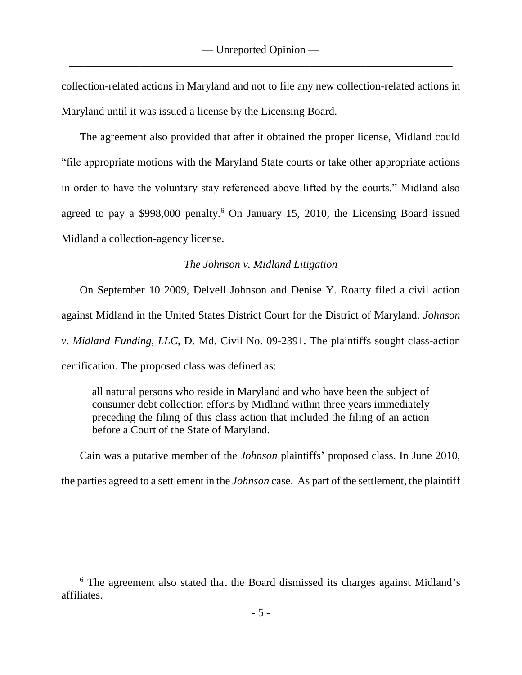collection-related actions in Maryland and not to file any new collection-related actions in Maryland until it was issued a license by the Licensing Board.

The agreement also provided that after it obtained the proper license, Midland could "file appropriate motions with the Maryland State courts or take other appropriate actions in order to have the voluntary stay referenced above lifted by the courts." Midland also agreed to pay a  $$998,000$  penalty.<sup>6</sup> On January 15, 2010, the Licensing Board issued Midland a collection-agency license.

# *The Johnson v. Midland Litigation*

On September 10 2009, Delvell Johnson and Denise Y. Roarty filed a civil action against Midland in the United States District Court for the District of Maryland. *Johnson v. Midland Funding, LLC*, D. Md. Civil No. 09-2391. The plaintiffs sought class-action certification. The proposed class was defined as:

all natural persons who reside in Maryland and who have been the subject of consumer debt collection efforts by Midland within three years immediately preceding the filing of this class action that included the filing of an action before a Court of the State of Maryland.

Cain was a putative member of the *Johnson* plaintiffs' proposed class. In June 2010, the parties agreed to a settlement in the *Johnson* case. As part of the settlement, the plaintiff

<sup>6</sup> The agreement also stated that the Board dismissed its charges against Midland's affiliates.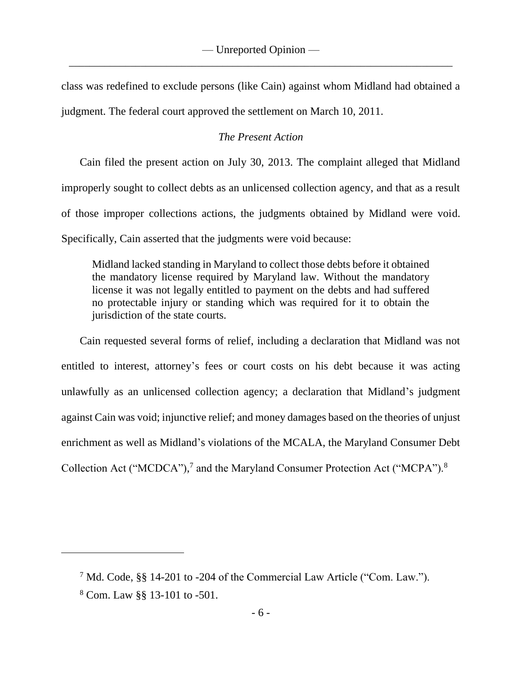class was redefined to exclude persons (like Cain) against whom Midland had obtained a judgment. The federal court approved the settlement on March 10, 2011.

# *The Present Action*

Cain filed the present action on July 30, 2013. The complaint alleged that Midland improperly sought to collect debts as an unlicensed collection agency, and that as a result of those improper collections actions, the judgments obtained by Midland were void. Specifically, Cain asserted that the judgments were void because:

Midland lacked standing in Maryland to collect those debts before it obtained the mandatory license required by Maryland law. Without the mandatory license it was not legally entitled to payment on the debts and had suffered no protectable injury or standing which was required for it to obtain the jurisdiction of the state courts.

Cain requested several forms of relief, including a declaration that Midland was not entitled to interest, attorney's fees or court costs on his debt because it was acting unlawfully as an unlicensed collection agency; a declaration that Midland's judgment against Cain was void; injunctive relief; and money damages based on the theories of unjust enrichment as well as Midland's violations of the MCALA, the Maryland Consumer Debt Collection Act ("MCDCA"),<sup>7</sup> and the Maryland Consumer Protection Act ("MCPA").<sup>8</sup>

<sup>7</sup> Md. Code, §§ 14-201 to -204 of the Commercial Law Article ("Com. Law.").

<sup>8</sup> Com. Law §§ 13-101 to -501.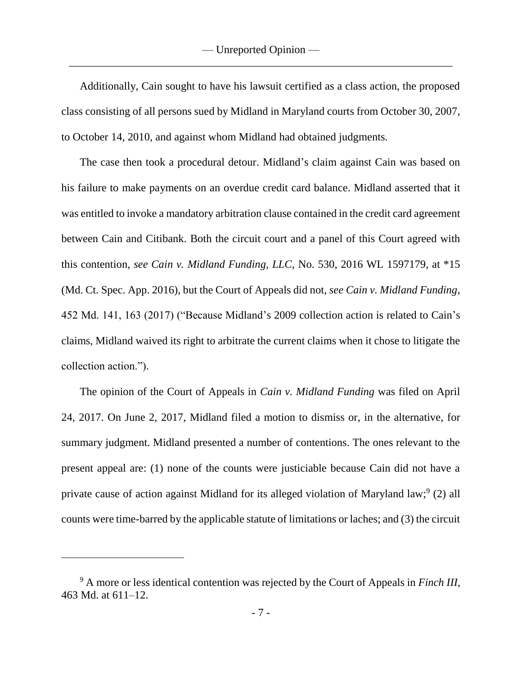Additionally, Cain sought to have his lawsuit certified as a class action, the proposed class consisting of all persons sued by Midland in Maryland courts from October 30, 2007, to October 14, 2010, and against whom Midland had obtained judgments.

The case then took a procedural detour. Midland's claim against Cain was based on his failure to make payments on an overdue credit card balance. Midland asserted that it was entitled to invoke a mandatory arbitration clause contained in the credit card agreement between Cain and Citibank. Both the circuit court and a panel of this Court agreed with this contention, *see Cain v. Midland Funding, LLC*, No. 530, 2016 WL 1597179, at \*15 (Md. Ct. Spec. App. 2016), but the Court of Appeals did not, *see Cain v. Midland Funding*, 452 Md. 141, 163 (2017) ("Because Midland's 2009 collection action is related to Cain's claims, Midland waived its right to arbitrate the current claims when it chose to litigate the collection action.").

The opinion of the Court of Appeals in *Cain v. Midland Funding* was filed on April 24, 2017. On June 2, 2017, Midland filed a motion to dismiss or, in the alternative, for summary judgment. Midland presented a number of contentions. The ones relevant to the present appeal are: (1) none of the counts were justiciable because Cain did not have a private cause of action against Midland for its alleged violation of Maryland law;<sup>9</sup> (2) all counts were time-barred by the applicable statute of limitations or laches; and (3) the circuit

<sup>9</sup> A more or less identical contention was rejected by the Court of Appeals in *Finch III*, 463 Md. at 611–12.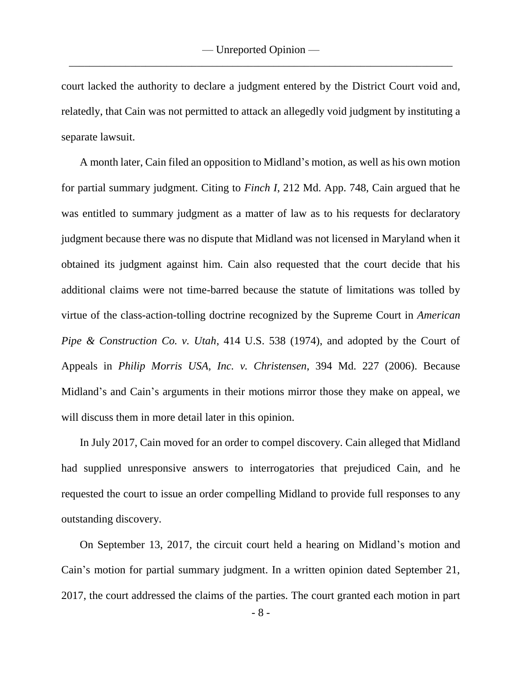court lacked the authority to declare a judgment entered by the District Court void and, relatedly, that Cain was not permitted to attack an allegedly void judgment by instituting a separate lawsuit.

A month later, Cain filed an opposition to Midland's motion, as well as his own motion for partial summary judgment. Citing to *Finch I*, 212 Md. App. 748, Cain argued that he was entitled to summary judgment as a matter of law as to his requests for declaratory judgment because there was no dispute that Midland was not licensed in Maryland when it obtained its judgment against him. Cain also requested that the court decide that his additional claims were not time-barred because the statute of limitations was tolled by virtue of the class-action-tolling doctrine recognized by the Supreme Court in *American Pipe & Construction Co. v. Utah*, 414 U.S. 538 (1974), and adopted by the Court of Appeals in *Philip Morris USA, Inc. v. Christensen*, 394 Md. 227 (2006). Because Midland's and Cain's arguments in their motions mirror those they make on appeal, we will discuss them in more detail later in this opinion.

In July 2017, Cain moved for an order to compel discovery. Cain alleged that Midland had supplied unresponsive answers to interrogatories that prejudiced Cain, and he requested the court to issue an order compelling Midland to provide full responses to any outstanding discovery.

On September 13, 2017, the circuit court held a hearing on Midland's motion and Cain's motion for partial summary judgment. In a written opinion dated September 21, 2017, the court addressed the claims of the parties. The court granted each motion in part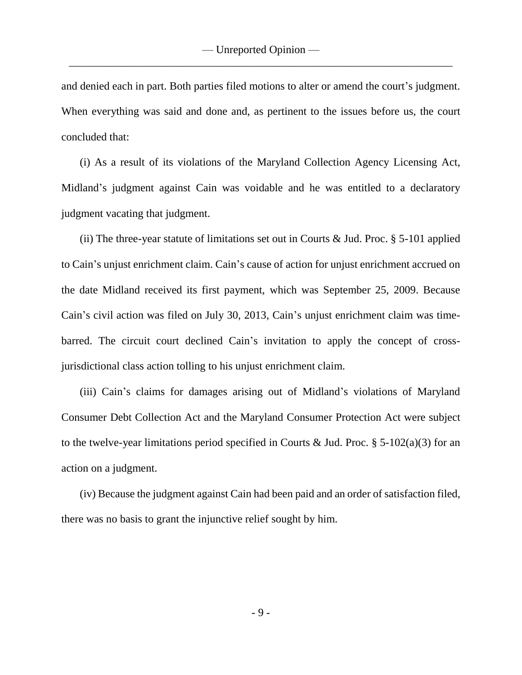and denied each in part. Both parties filed motions to alter or amend the court's judgment. When everything was said and done and, as pertinent to the issues before us, the court concluded that:

(i) As a result of its violations of the Maryland Collection Agency Licensing Act, Midland's judgment against Cain was voidable and he was entitled to a declaratory judgment vacating that judgment.

(ii) The three-year statute of limitations set out in Courts & Jud. Proc.  $\S$  5-101 applied to Cain's unjust enrichment claim. Cain's cause of action for unjust enrichment accrued on the date Midland received its first payment, which was September 25, 2009. Because Cain's civil action was filed on July 30, 2013, Cain's unjust enrichment claim was timebarred. The circuit court declined Cain's invitation to apply the concept of crossjurisdictional class action tolling to his unjust enrichment claim.

(iii) Cain's claims for damages arising out of Midland's violations of Maryland Consumer Debt Collection Act and the Maryland Consumer Protection Act were subject to the twelve-year limitations period specified in Courts & Jud. Proc.  $\S$  5-102(a)(3) for an action on a judgment.

(iv) Because the judgment against Cain had been paid and an order of satisfaction filed, there was no basis to grant the injunctive relief sought by him.

- 9 -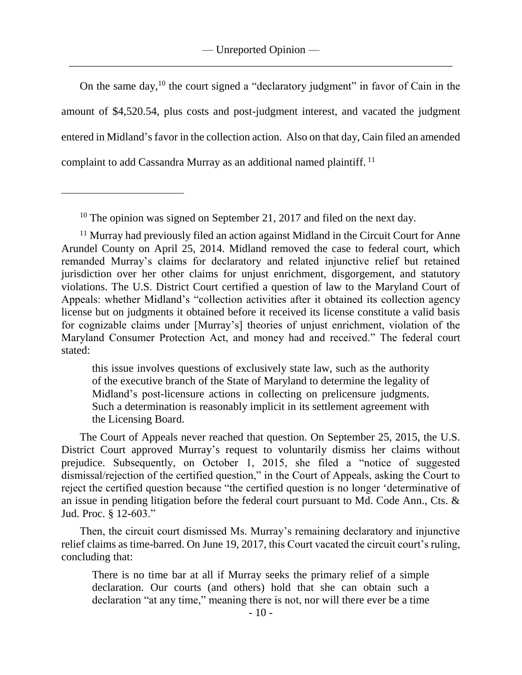On the same day,  $10$  the court signed a "declaratory judgment" in favor of Cain in the amount of \$4,520.54, plus costs and post-judgment interest, and vacated the judgment entered in Midland's favor in the collection action. Also on that day, Cain filed an amended complaint to add Cassandra Murray as an additional named plaintiff. <sup>11</sup>

 $\overline{a}$ 

The Court of Appeals never reached that question. On September 25, 2015, the U.S. District Court approved Murray's request to voluntarily dismiss her claims without prejudice. Subsequently, on October 1, 2015, she filed a "notice of suggested dismissal/rejection of the certified question," in the Court of Appeals, asking the Court to reject the certified question because "the certified question is no longer 'determinative of an issue in pending litigation before the federal court pursuant to Md. Code Ann., Cts. & Jud. Proc. § 12-603."

Then, the circuit court dismissed Ms. Murray's remaining declaratory and injunctive relief claims as time-barred. On June 19, 2017, this Court vacated the circuit court's ruling, concluding that:

There is no time bar at all if Murray seeks the primary relief of a simple declaration. Our courts (and others) hold that she can obtain such a declaration "at any time," meaning there is not, nor will there ever be a time

<sup>&</sup>lt;sup>10</sup> The opinion was signed on September 21, 2017 and filed on the next day.

<sup>&</sup>lt;sup>11</sup> Murray had previously filed an action against Midland in the Circuit Court for Anne Arundel County on April 25, 2014. Midland removed the case to federal court, which remanded Murray's claims for declaratory and related injunctive relief but retained jurisdiction over her other claims for unjust enrichment, disgorgement, and statutory violations. The U.S. District Court certified a question of law to the Maryland Court of Appeals: whether Midland's "collection activities after it obtained its collection agency license but on judgments it obtained before it received its license constitute a valid basis for cognizable claims under [Murray's] theories of unjust enrichment, violation of the Maryland Consumer Protection Act, and money had and received." The federal court stated:

this issue involves questions of exclusively state law, such as the authority of the executive branch of the State of Maryland to determine the legality of Midland's post-licensure actions in collecting on prelicensure judgments. Such a determination is reasonably implicit in its settlement agreement with the Licensing Board.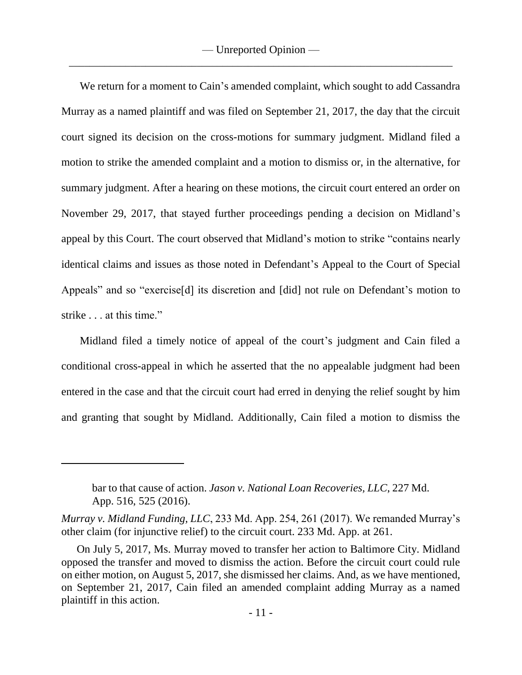We return for a moment to Cain's amended complaint, which sought to add Cassandra Murray as a named plaintiff and was filed on September 21, 2017, the day that the circuit court signed its decision on the cross-motions for summary judgment. Midland filed a motion to strike the amended complaint and a motion to dismiss or, in the alternative, for summary judgment. After a hearing on these motions, the circuit court entered an order on November 29, 2017, that stayed further proceedings pending a decision on Midland's appeal by this Court. The court observed that Midland's motion to strike "contains nearly identical claims and issues as those noted in Defendant's Appeal to the Court of Special Appeals" and so "exercise[d] its discretion and [did] not rule on Defendant's motion to strike . . . at this time."

Midland filed a timely notice of appeal of the court's judgment and Cain filed a conditional cross-appeal in which he asserted that the no appealable judgment had been entered in the case and that the circuit court had erred in denying the relief sought by him and granting that sought by Midland. Additionally, Cain filed a motion to dismiss the

bar to that cause of action. *Jason v. National Loan Recoveries, LLC*, 227 Md. App. 516, 525 (2016).

*Murray v. Midland Funding, LLC*, 233 Md. App. 254, 261 (2017). We remanded Murray's other claim (for injunctive relief) to the circuit court. 233 Md. App. at 261.

On July 5, 2017, Ms. Murray moved to transfer her action to Baltimore City. Midland opposed the transfer and moved to dismiss the action. Before the circuit court could rule on either motion, on August 5, 2017, she dismissed her claims. And, as we have mentioned, on September 21, 2017, Cain filed an amended complaint adding Murray as a named plaintiff in this action.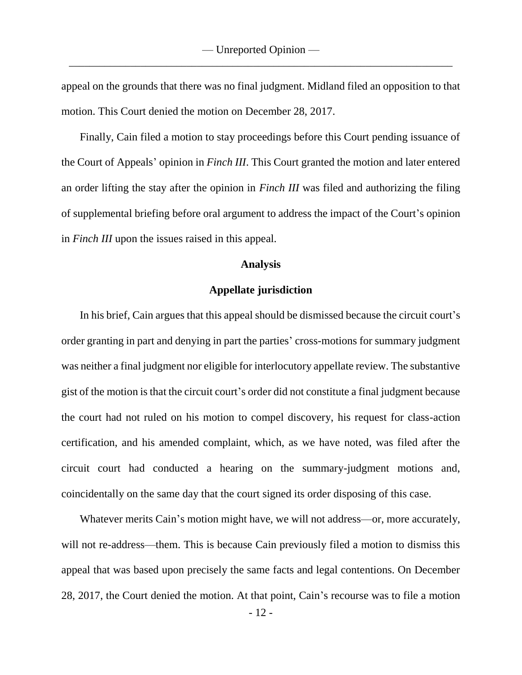appeal on the grounds that there was no final judgment. Midland filed an opposition to that motion. This Court denied the motion on December 28, 2017.

Finally, Cain filed a motion to stay proceedings before this Court pending issuance of the Court of Appeals' opinion in *Finch III*. This Court granted the motion and later entered an order lifting the stay after the opinion in *Finch III* was filed and authorizing the filing of supplemental briefing before oral argument to address the impact of the Court's opinion in *Finch III* upon the issues raised in this appeal.

### **Analysis**

## **Appellate jurisdiction**

In his brief, Cain argues that this appeal should be dismissed because the circuit court's order granting in part and denying in part the parties' cross-motions for summary judgment was neither a final judgment nor eligible for interlocutory appellate review. The substantive gist of the motion is that the circuit court's order did not constitute a final judgment because the court had not ruled on his motion to compel discovery, his request for class-action certification, and his amended complaint, which, as we have noted, was filed after the circuit court had conducted a hearing on the summary-judgment motions and, coincidentally on the same day that the court signed its order disposing of this case.

Whatever merits Cain's motion might have, we will not address—or, more accurately, will not re-address—them. This is because Cain previously filed a motion to dismiss this appeal that was based upon precisely the same facts and legal contentions. On December 28, 2017, the Court denied the motion. At that point, Cain's recourse was to file a motion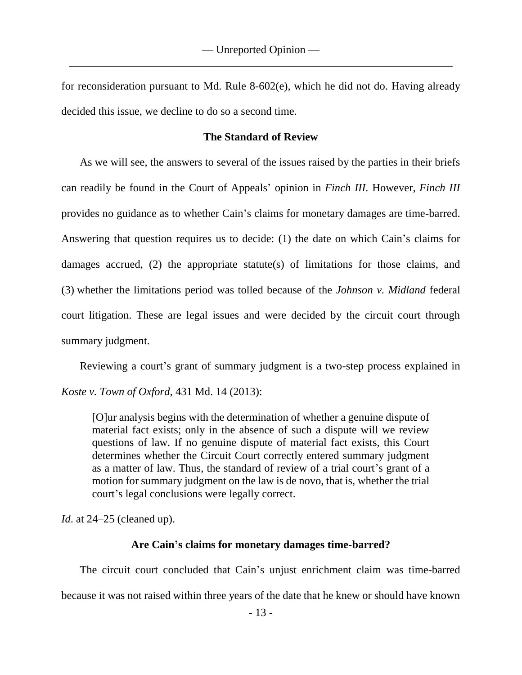for reconsideration pursuant to Md. Rule 8-602(e), which he did not do. Having already decided this issue, we decline to do so a second time.

## **The Standard of Review**

As we will see, the answers to several of the issues raised by the parties in their briefs can readily be found in the Court of Appeals' opinion in *Finch III.* However, *Finch III* provides no guidance as to whether Cain's claims for monetary damages are time-barred. Answering that question requires us to decide: (1) the date on which Cain's claims for damages accrued, (2) the appropriate statute(s) of limitations for those claims, and (3) whether the limitations period was tolled because of the *Johnson v. Midland* federal court litigation. These are legal issues and were decided by the circuit court through summary judgment.

Reviewing a court's grant of summary judgment is a two-step process explained in

*Koste v. Town of Oxford*, 431 Md. 14 (2013):

[O]ur analysis begins with the determination of whether a genuine dispute of material fact exists; only in the absence of such a dispute will we review questions of law. If no genuine dispute of material fact exists, this Court determines whether the Circuit Court correctly entered summary judgment as a matter of law. Thus, the standard of review of a trial court's grant of a motion for summary judgment on the law is de novo, that is, whether the trial court's legal conclusions were legally correct.

*Id*. at 24–25 (cleaned up).

### **Are Cain's claims for monetary damages time-barred?**

The circuit court concluded that Cain's unjust enrichment claim was time-barred because it was not raised within three years of the date that he knew or should have known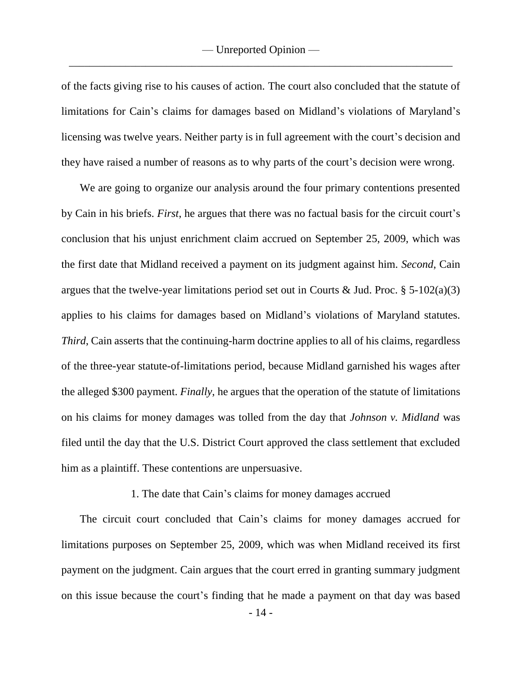of the facts giving rise to his causes of action. The court also concluded that the statute of limitations for Cain's claims for damages based on Midland's violations of Maryland's licensing was twelve years. Neither party is in full agreement with the court's decision and they have raised a number of reasons as to why parts of the court's decision were wrong.

We are going to organize our analysis around the four primary contentions presented by Cain in his briefs. *First*, he argues that there was no factual basis for the circuit court's conclusion that his unjust enrichment claim accrued on September 25, 2009, which was the first date that Midland received a payment on its judgment against him. *Second*, Cain argues that the twelve-year limitations period set out in Courts & Jud. Proc.  $\S$  5-102(a)(3) applies to his claims for damages based on Midland's violations of Maryland statutes. *Third*, Cain asserts that the continuing-harm doctrine applies to all of his claims, regardless of the three-year statute-of-limitations period, because Midland garnished his wages after the alleged \$300 payment. *Finally*, he argues that the operation of the statute of limitations on his claims for money damages was tolled from the day that *Johnson v. Midland* was filed until the day that the U.S. District Court approved the class settlement that excluded him as a plaintiff. These contentions are unpersuasive.

### 1. The date that Cain's claims for money damages accrued

The circuit court concluded that Cain's claims for money damages accrued for limitations purposes on September 25, 2009, which was when Midland received its first payment on the judgment. Cain argues that the court erred in granting summary judgment on this issue because the court's finding that he made a payment on that day was based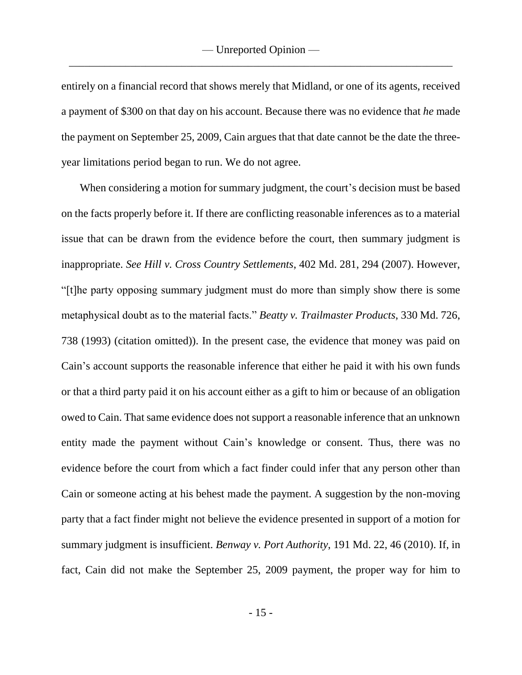entirely on a financial record that shows merely that Midland, or one of its agents, received a payment of \$300 on that day on his account. Because there was no evidence that *he* made the payment on September 25, 2009, Cain argues that that date cannot be the date the threeyear limitations period began to run. We do not agree.

When considering a motion for summary judgment, the court's decision must be based on the facts properly before it. If there are conflicting reasonable inferences as to a material issue that can be drawn from the evidence before the court, then summary judgment is inappropriate. *See Hill v. Cross Country Settlements*, 402 Md. 281, 294 (2007). However, "[t]he party opposing summary judgment must do more than simply show there is some metaphysical doubt as to the material facts." *Beatty v. Trailmaster Products*, 330 Md. 726, 738 (1993) (citation omitted)). In the present case, the evidence that money was paid on Cain's account supports the reasonable inference that either he paid it with his own funds or that a third party paid it on his account either as a gift to him or because of an obligation owed to Cain. That same evidence does not support a reasonable inference that an unknown entity made the payment without Cain's knowledge or consent. Thus, there was no evidence before the court from which a fact finder could infer that any person other than Cain or someone acting at his behest made the payment. A suggestion by the non-moving party that a fact finder might not believe the evidence presented in support of a motion for summary judgment is insufficient. *Benway v. Port Authority*, 191 Md. 22, 46 (2010). If, in fact, Cain did not make the September 25, 2009 payment, the proper way for him to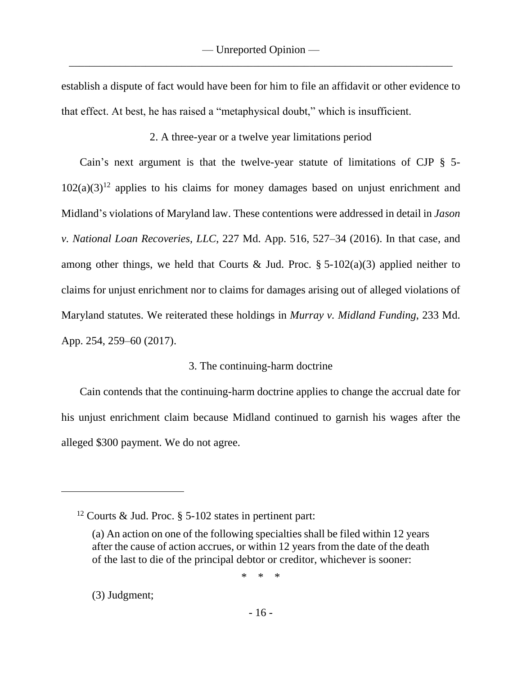establish a dispute of fact would have been for him to file an affidavit or other evidence to that effect. At best, he has raised a "metaphysical doubt," which is insufficient.

2. A three-year or a twelve year limitations period

Cain's next argument is that the twelve-year statute of limitations of CJP § 5-  $102(a)(3)^{12}$  applies to his claims for money damages based on unjust enrichment and Midland's violations of Maryland law. These contentions were addressed in detail in *Jason v. National Loan Recoveries, LLC*, 227 Md. App. 516, 527–34 (2016). In that case, and among other things, we held that Courts & Jud. Proc.  $\S$  5-102(a)(3) applied neither to claims for unjust enrichment nor to claims for damages arising out of alleged violations of Maryland statutes. We reiterated these holdings in *Murray v. Midland Funding*, 233 Md. App. 254, 259–60 (2017).

## 3. The continuing-harm doctrine

Cain contends that the continuing-harm doctrine applies to change the accrual date for his unjust enrichment claim because Midland continued to garnish his wages after the alleged \$300 payment. We do not agree.

\* \* \*

(3) Judgment;

<sup>&</sup>lt;sup>12</sup> Courts & Jud. Proc.  $\S$  5-102 states in pertinent part:

<sup>(</sup>a) An action on one of the following specialties shall be filed within 12 years after the cause of action accrues, or within 12 years from the date of the death of the last to die of the principal debtor or creditor, whichever is sooner: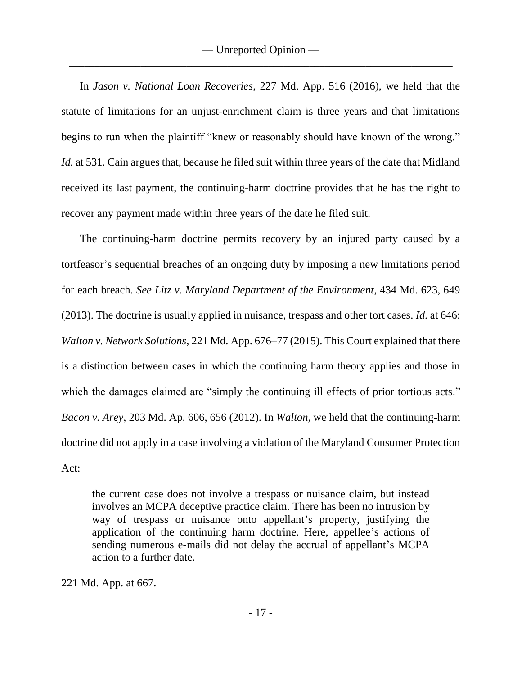In *Jason v. National Loan Recoveries*, 227 Md. App. 516 (2016), we held that the statute of limitations for an unjust-enrichment claim is three years and that limitations begins to run when the plaintiff "knew or reasonably should have known of the wrong." *Id.* at 531. Cain argues that, because he filed suit within three years of the date that Midland received its last payment, the continuing-harm doctrine provides that he has the right to recover any payment made within three years of the date he filed suit.

The continuing-harm doctrine permits recovery by an injured party caused by a tortfeasor's sequential breaches of an ongoing duty by imposing a new limitations period for each breach. *See Litz v. Maryland Department of the Environment*, 434 Md. 623, 649 (2013). The doctrine is usually applied in nuisance, trespass and other tort cases. *Id.* at 646; *Walton v. Network Solutions*, 221 Md. App. 676–77 (2015). This Court explained that there is a distinction between cases in which the continuing harm theory applies and those in which the damages claimed are "simply the continuing ill effects of prior tortious acts." *Bacon v. Arey*, 203 Md. Ap. 606, 656 (2012). In *Walton*, we held that the continuing-harm doctrine did not apply in a case involving a violation of the Maryland Consumer Protection Act:

the current case does not involve a trespass or nuisance claim, but instead involves an MCPA deceptive practice claim. There has been no intrusion by way of trespass or nuisance onto appellant's property, justifying the application of the continuing harm doctrine. Here, appellee's actions of sending numerous e-mails did not delay the accrual of appellant's MCPA action to a further date.

221 Md. App. at 667.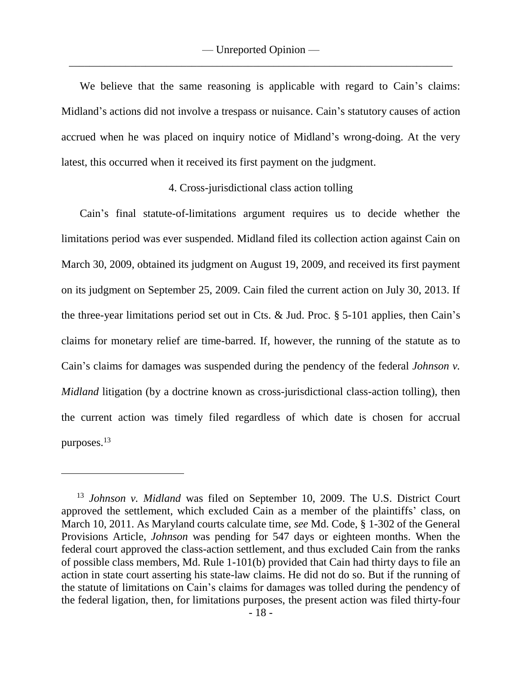We believe that the same reasoning is applicable with regard to Cain's claims: Midland's actions did not involve a trespass or nuisance. Cain's statutory causes of action accrued when he was placed on inquiry notice of Midland's wrong-doing. At the very latest, this occurred when it received its first payment on the judgment.

## 4. Cross-jurisdictional class action tolling

Cain's final statute-of-limitations argument requires us to decide whether the limitations period was ever suspended. Midland filed its collection action against Cain on March 30, 2009, obtained its judgment on August 19, 2009, and received its first payment on its judgment on September 25, 2009. Cain filed the current action on July 30, 2013. If the three-year limitations period set out in Cts. & Jud. Proc.  $\S$  5-101 applies, then Cain's claims for monetary relief are time-barred. If, however, the running of the statute as to Cain's claims for damages was suspended during the pendency of the federal *Johnson v. Midland* litigation (by a doctrine known as cross-jurisdictional class-action tolling), then the current action was timely filed regardless of which date is chosen for accrual purposes.<sup>13</sup>

<sup>13</sup> *Johnson v. Midland* was filed on September 10, 2009. The U.S. District Court approved the settlement, which excluded Cain as a member of the plaintiffs' class, on March 10, 2011. As Maryland courts calculate time, *see* Md. Code, § 1-302 of the General Provisions Article, *Johnson* was pending for 547 days or eighteen months. When the federal court approved the class-action settlement, and thus excluded Cain from the ranks of possible class members, Md. Rule 1-101(b) provided that Cain had thirty days to file an action in state court asserting his state-law claims. He did not do so. But if the running of the statute of limitations on Cain's claims for damages was tolled during the pendency of the federal ligation, then, for limitations purposes, the present action was filed thirty-four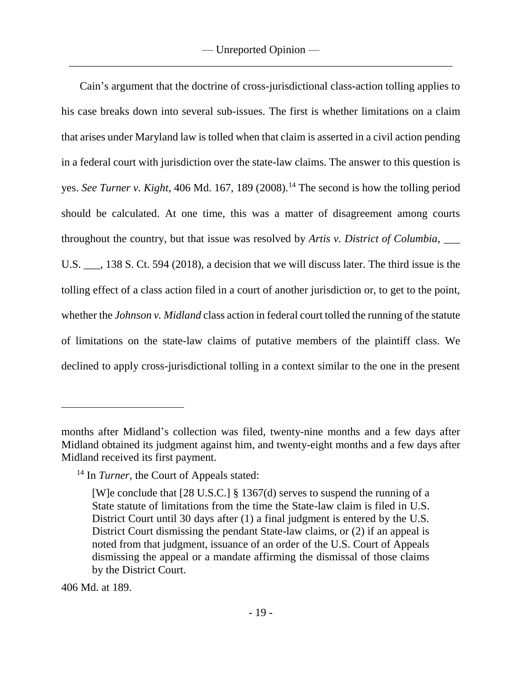Cain's argument that the doctrine of cross-jurisdictional class-action tolling applies to his case breaks down into several sub-issues. The first is whether limitations on a claim that arises under Maryland law is tolled when that claim is asserted in a civil action pending in a federal court with jurisdiction over the state-law claims. The answer to this question is yes. *See Turner v. Kight*, 406 Md. 167, 189 (2008).<sup>14</sup> The second is how the tolling period should be calculated. At one time, this was a matter of disagreement among courts throughout the country, but that issue was resolved by *Artis v. District of Columbia*, \_\_\_ U.S.  $\ldots$ , 138 S. Ct. 594 (2018), a decision that we will discuss later. The third issue is the tolling effect of a class action filed in a court of another jurisdiction or, to get to the point, whether the *Johnson v. Midland* class action in federal court tolled the running of the statute of limitations on the state-law claims of putative members of the plaintiff class. We declined to apply cross-jurisdictional tolling in a context similar to the one in the present

406 Md. at 189.

months after Midland's collection was filed, twenty-nine months and a few days after Midland obtained its judgment against him, and twenty-eight months and a few days after Midland received its first payment.

<sup>&</sup>lt;sup>14</sup> In *Turner*, the Court of Appeals stated:

<sup>[</sup>W]e conclude that [28 U.S.C.] § 1367(d) serves to suspend the running of a State statute of limitations from the time the State-law claim is filed in U.S. District Court until 30 days after (1) a final judgment is entered by the U.S. District Court dismissing the pendant State-law claims, or (2) if an appeal is noted from that judgment, issuance of an order of the U.S. Court of Appeals dismissing the appeal or a mandate affirming the dismissal of those claims by the District Court.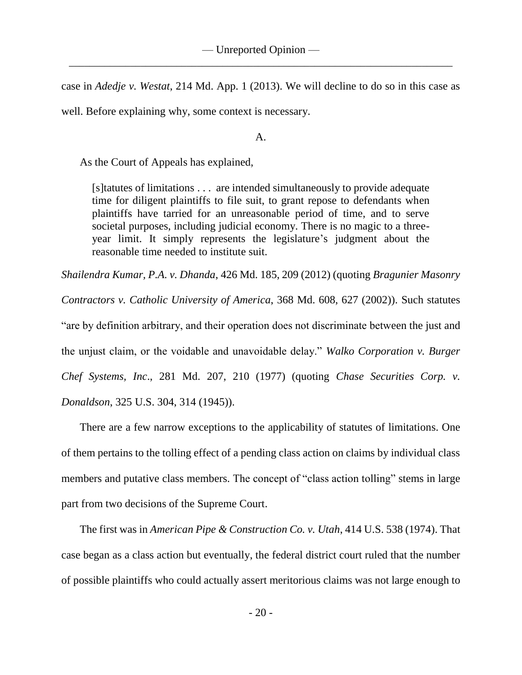case in *Adedje v. Westat*, 214 Md. App. 1 (2013). We will decline to do so in this case as well. Before explaining why, some context is necessary.

A.

As the Court of Appeals has explained,

[s]tatutes of limitations . . . are intended simultaneously to provide adequate time for diligent plaintiffs to file suit, to grant repose to defendants when plaintiffs have tarried for an unreasonable period of time, and to serve societal purposes, including judicial economy. There is no magic to a threeyear limit. It simply represents the legislature's judgment about the reasonable time needed to institute suit.

*Shailendra Kumar, P.A. v. Dhanda*, 426 Md. 185, 209 (2012) (quoting *Bragunier Masonry* 

*Contractors v. Catholic University of America*, 368 Md. 608, 627 (2002)). Such statutes

"are by definition arbitrary, and their operation does not discriminate between the just and

the unjust claim, or the voidable and unavoidable delay." *Walko Corporation v. Burger* 

*Chef Systems, Inc*., 281 Md. 207, 210 (1977) (quoting *Chase Securities Corp. v.* 

*Donaldson*, 325 U.S. 304, 314 (1945)).

There are a few narrow exceptions to the applicability of statutes of limitations. One of them pertains to the tolling effect of a pending class action on claims by individual class members and putative class members. The concept of "class action tolling" stems in large part from two decisions of the Supreme Court.

The first was in *American Pipe & Construction Co. v. Utah*, 414 U.S. 538 (1974). That case began as a class action but eventually, the federal district court ruled that the number of possible plaintiffs who could actually assert meritorious claims was not large enough to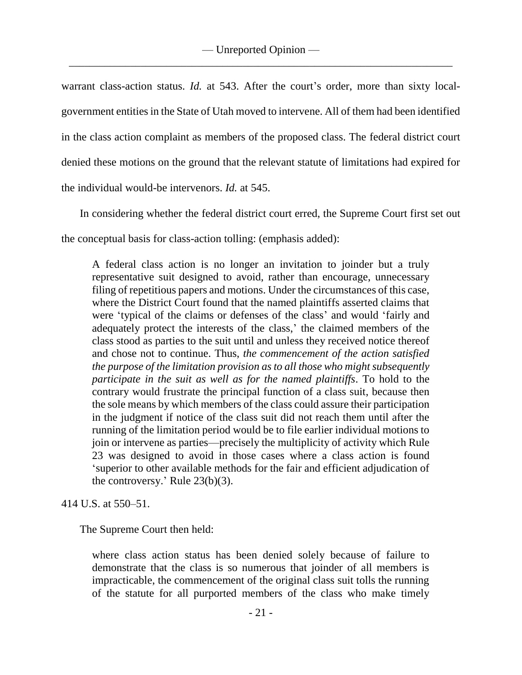warrant class-action status. *Id.* at 543. After the court's order, more than sixty localgovernment entities in the State of Utah moved to intervene. All of them had been identified in the class action complaint as members of the proposed class. The federal district court denied these motions on the ground that the relevant statute of limitations had expired for the individual would-be intervenors. *Id.* at 545.

In considering whether the federal district court erred, the Supreme Court first set out

the conceptual basis for class-action tolling: (emphasis added):

A federal class action is no longer an invitation to joinder but a truly representative suit designed to avoid, rather than encourage, unnecessary filing of repetitious papers and motions. Under the circumstances of this case, where the District Court found that the named plaintiffs asserted claims that were 'typical of the claims or defenses of the class' and would 'fairly and adequately protect the interests of the class,' the claimed members of the class stood as parties to the suit until and unless they received notice thereof and chose not to continue. Thus, *the commencement of the action satisfied the purpose of the limitation provision as to all those who might subsequently participate in the suit as well as for the named plaintiffs*. To hold to the contrary would frustrate the principal function of a class suit, because then the sole means by which members of the class could assure their participation in the judgment if notice of the class suit did not reach them until after the running of the limitation period would be to file earlier individual motions to join or intervene as parties—precisely the multiplicity of activity which Rule 23 was designed to avoid in those cases where a class action is found 'superior to other available methods for the fair and efficient adjudication of the controversy.' Rule 23(b)(3).

414 U.S. at 550–51.

The Supreme Court then held:

where class action status has been denied solely because of failure to demonstrate that the class is so numerous that joinder of all members is impracticable, the commencement of the original class suit tolls the running of the statute for all purported members of the class who make timely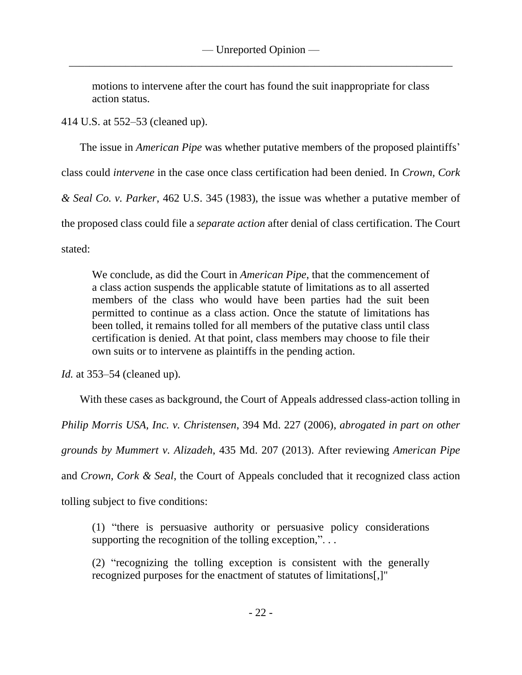motions to intervene after the court has found the suit inappropriate for class action status.

414 U.S. at 552–53 (cleaned up).

The issue in *American Pipe* was whether putative members of the proposed plaintiffs'

class could *intervene* in the case once class certification had been denied. In *Crown, Cork* 

*& Seal Co. v. Parker*, 462 U.S. 345 (1983), the issue was whether a putative member of

the proposed class could file a *separate action* after denial of class certification. The Court

stated:

We conclude, as did the Court in *American Pipe*, that the commencement of a class action suspends the applicable statute of limitations as to all asserted members of the class who would have been parties had the suit been permitted to continue as a class action. Once the statute of limitations has been tolled, it remains tolled for all members of the putative class until class certification is denied. At that point, class members may choose to file their own suits or to intervene as plaintiffs in the pending action.

*Id.* at 353–54 (cleaned up).

With these cases as background, the Court of Appeals addressed class-action tolling in *Philip Morris USA, Inc. v. Christensen*, 394 Md. 227 (2006), *abrogated in part on other grounds by Mummert v. Alizadeh*, 435 Md. 207 (2013). After reviewing *American Pipe*  and *Crown, Cork & Seal*, the Court of Appeals concluded that it recognized class action tolling subject to five conditions:

(1) "there is persuasive authority or persuasive policy considerations supporting the recognition of the tolling exception,"...

(2) "recognizing the tolling exception is consistent with the generally recognized purposes for the enactment of statutes of limitations[,]"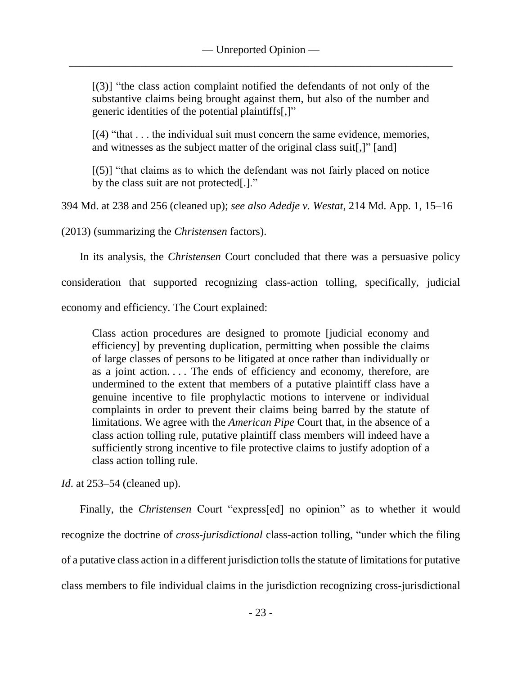[(3)] "the class action complaint notified the defendants of not only of the substantive claims being brought against them, but also of the number and generic identities of the potential plaintiffs[,]"

 $[(4)$  "that  $\dots$  the individual suit must concern the same evidence, memories, and witnesses as the subject matter of the original class suit[,]" [and]

 $[(5)]$  "that claims as to which the defendant was not fairly placed on notice by the class suit are not protected[.]."

394 Md. at 238 and 256 (cleaned up); *see also Adedje v. Westat*, 214 Md. App. 1, 15–16

(2013) (summarizing the *Christensen* factors).

In its analysis, the *Christensen* Court concluded that there was a persuasive policy

consideration that supported recognizing class-action tolling, specifically, judicial economy and efficiency. The Court explained:

Class action procedures are designed to promote [judicial economy and efficiency] by preventing duplication, permitting when possible the claims of large classes of persons to be litigated at once rather than individually or as a joint action.... The ends of efficiency and economy, therefore, are undermined to the extent that members of a putative plaintiff class have a genuine incentive to file prophylactic motions to intervene or individual complaints in order to prevent their claims being barred by the statute of limitation*s*. We agree with the *American Pipe* Court that, in the absence of a class action tolling rule, putative plaintiff class members will indeed have a sufficiently strong incentive to file protective claims to justify adoption of a class action tolling rule.

*Id.* at 253–54 (cleaned up).

Finally, the *Christensen* Court "express[ed] no opinion" as to whether it would recognize the doctrine of *cross-jurisdictional* class-action tolling, "under which the filing of a putative class action in a different jurisdiction tolls the statute of limitations for putative class members to file individual claims in the jurisdiction recognizing cross-jurisdictional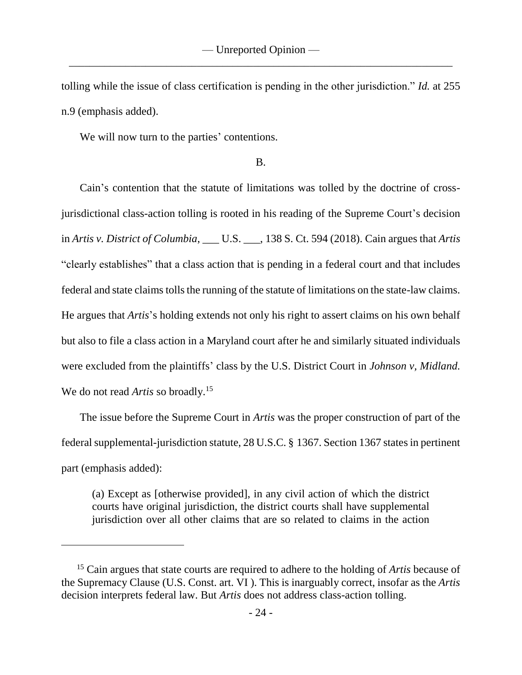tolling while the issue of class certification is pending in the other jurisdiction." *Id.* at 255 n.9 (emphasis added).

We will now turn to the parties' contentions.

### B.

Cain's contention that the statute of limitations was tolled by the doctrine of crossjurisdictional class-action tolling is rooted in his reading of the Supreme Court's decision in *Artis v. District of Columbia*, \_\_\_ U.S. \_\_\_, 138 S. Ct. 594 (2018). Cain argues that *Artis* "clearly establishes" that a class action that is pending in a federal court and that includes federal and state claims tolls the running of the statute of limitations on the state-law claims. He argues that *Artis*'s holding extends not only his right to assert claims on his own behalf but also to file a class action in a Maryland court after he and similarly situated individuals were excluded from the plaintiffs' class by the U.S. District Court in *Johnson v, Midland.* We do not read *Artis* so broadly.<sup>15</sup>

The issue before the Supreme Court in *Artis* was the proper construction of part of the federal supplemental-jurisdiction statute, 28 U.S.C. § 1367. Section 1367 states in pertinent part (emphasis added):

(a) Except as [otherwise provided], in any civil action of which the district courts have original jurisdiction, the district courts shall have supplemental jurisdiction over all other claims that are so related to claims in the action

<sup>15</sup> Cain argues that state courts are required to adhere to the holding of *Artis* because of the Supremacy Clause (U.S. Const. art. VI ). This is inarguably correct, insofar as the *Artis* decision interprets federal law. But *Artis* does not address class-action tolling.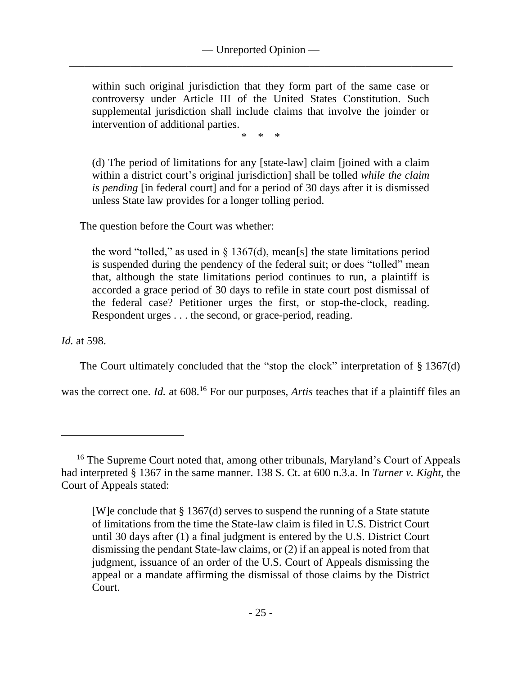within such original jurisdiction that they form part of the same case or controversy under Article III of the United States Constitution. Such supplemental jurisdiction shall include claims that involve the joinder or intervention of additional parties.

\* \* \*

(d) The period of limitations for any [state-law] claim [joined with a claim within a district court's original jurisdiction] shall be tolled *while the claim is pending* [in federal court] and for a period of 30 days after it is dismissed unless State law provides for a longer tolling period.

The question before the Court was whether:

the word "tolled," as used in  $\S 1367(d)$ , mean[s] the state limitations period is suspended during the pendency of the federal suit; or does "tolled" mean that, although the state limitations period continues to run, a plaintiff is accorded a grace period of 30 days to refile in state court post dismissal of the federal case? Petitioner urges the first, or stop-the-clock, reading. Respondent urges . . . the second, or grace-period, reading.

*Id.* at 598.

 $\overline{a}$ 

The Court ultimately concluded that the "stop the clock" interpretation of § 1367(d)

was the correct one. *Id.* at 608.<sup>16</sup> For our purposes, *Artis* teaches that if a plaintiff files an

<sup>&</sup>lt;sup>16</sup> The Supreme Court noted that, among other tribunals, Maryland's Court of Appeals had interpreted § 1367 in the same manner. 138 S. Ct. at 600 n.3.a. In *Turner v. Kight*, the Court of Appeals stated:

<sup>[</sup>W]e conclude that § 1367(d) serves to suspend the running of a State statute of limitations from the time the State-law claim is filed in U.S. District Court until 30 days after (1) a final judgment is entered by the U.S. District Court dismissing the pendant State-law claims, or (2) if an appeal is noted from that judgment, issuance of an order of the U.S. Court of Appeals dismissing the appeal or a mandate affirming the dismissal of those claims by the District Court.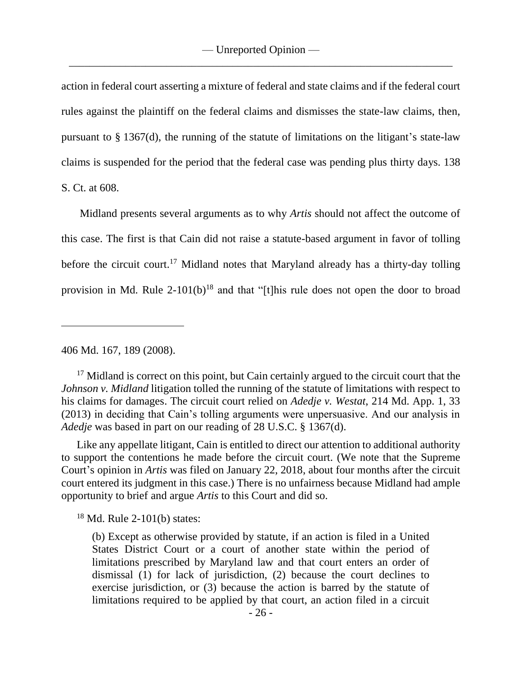action in federal court asserting a mixture of federal and state claims and if the federal court rules against the plaintiff on the federal claims and dismisses the state-law claims, then, pursuant to § 1367(d), the running of the statute of limitations on the litigant's state-law claims is suspended for the period that the federal case was pending plus thirty days. 138 S. Ct. at 608.

Midland presents several arguments as to why *Artis* should not affect the outcome of this case. The first is that Cain did not raise a statute-based argument in favor of tolling before the circuit court.<sup>17</sup> Midland notes that Maryland already has a thirty-day tolling provision in Md. Rule  $2-101(b)^{18}$  and that "[t]his rule does not open the door to broad

406 Md. 167, 189 (2008).

<sup>17</sup> Midland is correct on this point, but Cain certainly argued to the circuit court that the *Johnson v. Midland* litigation tolled the running of the statute of limitations with respect to his claims for damages. The circuit court relied on *Adedje v. Westat*, 214 Md. App. 1, 33 (2013) in deciding that Cain's tolling arguments were unpersuasive. And our analysis in *Adedje* was based in part on our reading of 28 U.S.C. § 1367(d).

Like any appellate litigant, Cain is entitled to direct our attention to additional authority to support the contentions he made before the circuit court. (We note that the Supreme Court's opinion in *Artis* was filed on January 22, 2018, about four months after the circuit court entered its judgment in this case.) There is no unfairness because Midland had ample opportunity to brief and argue *Artis* to this Court and did so.

 $18$  Md. Rule 2-101(b) states:

(b) Except as otherwise provided by statute, if an action is filed in a United States District Court or a court of another state within the period of limitations prescribed by Maryland law and that court enters an order of dismissal (1) for lack of jurisdiction, (2) because the court declines to exercise jurisdiction, or (3) because the action is barred by the statute of limitations required to be applied by that court, an action filed in a circuit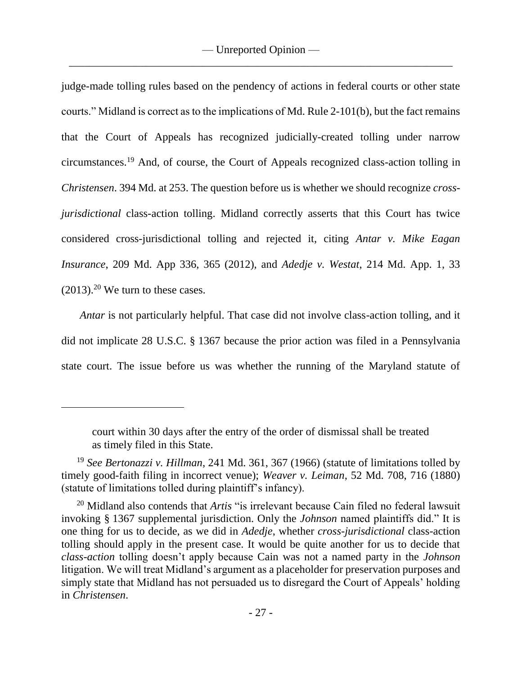judge-made tolling rules based on the pendency of actions in federal courts or other state courts." Midland is correct as to the implications of Md. Rule 2-101(b), but the fact remains that the Court of Appeals has recognized judicially-created tolling under narrow circumstances.<sup>19</sup> And, of course, the Court of Appeals recognized class-action tolling in *Christensen*. 394 Md. at 253. The question before us is whether we should recognize *crossjurisdictional* class-action tolling. Midland correctly asserts that this Court has twice considered cross-jurisdictional tolling and rejected it, citing *Antar v. Mike Eagan Insurance*, 209 Md. App 336, 365 (2012), and *Adedje v. Westat*, 214 Md. App. 1, 33  $(2013).<sup>20</sup>$  We turn to these cases.

*Antar* is not particularly helpful. That case did not involve class-action tolling, and it did not implicate 28 U.S.C. § 1367 because the prior action was filed in a Pennsylvania state court. The issue before us was whether the running of the Maryland statute of

court within 30 days after the entry of the order of dismissal shall be treated as timely filed in this State.

<sup>19</sup> *See Bertonazzi v. Hillman*, 241 Md. 361, 367 (1966) (statute of limitations tolled by timely good-faith filing in incorrect venue); *Weaver v. Leiman*, 52 Md. 708, 716 (1880) (statute of limitations tolled during plaintiff's infancy).

<sup>20</sup> Midland also contends that *Artis* "is irrelevant because Cain filed no federal lawsuit invoking § 1367 supplemental jurisdiction. Only the *Johnson* named plaintiffs did." It is one thing for us to decide, as we did in *Adedje*, whether *cross-jurisdictional* class-action tolling should apply in the present case. It would be quite another for us to decide that *class-action* tolling doesn't apply because Cain was not a named party in the *Johnson* litigation. We will treat Midland's argument as a placeholder for preservation purposes and simply state that Midland has not persuaded us to disregard the Court of Appeals' holding in *Christensen*.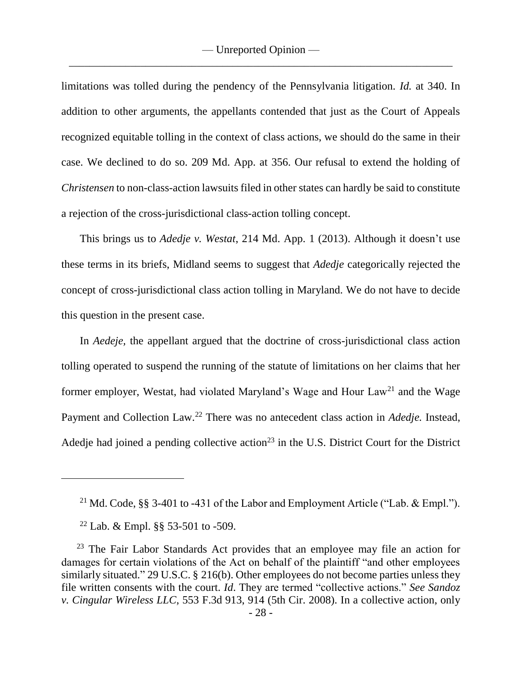limitations was tolled during the pendency of the Pennsylvania litigation. *Id.* at 340. In addition to other arguments, the appellants contended that just as the Court of Appeals recognized equitable tolling in the context of class actions, we should do the same in their case. We declined to do so. 209 Md. App. at 356. Our refusal to extend the holding of *Christensen* to non-class-action lawsuits filed in other states can hardly be said to constitute a rejection of the cross-jurisdictional class-action tolling concept.

This brings us to *Adedje v. Westat*, 214 Md. App. 1 (2013). Although it doesn't use these terms in its briefs, Midland seems to suggest that *Adedje* categorically rejected the concept of cross-jurisdictional class action tolling in Maryland. We do not have to decide this question in the present case.

In *Aedeje,* the appellant argued that the doctrine of cross-jurisdictional class action tolling operated to suspend the running of the statute of limitations on her claims that her former employer, Westat, had violated Maryland's Wage and Hour Law<sup>21</sup> and the Wage Payment and Collection Law.<sup>22</sup> There was no antecedent class action in *Adedje.* Instead, Adedie had joined a pending collective action<sup>23</sup> in the U.S. District Court for the District

<sup>21</sup> Md. Code, §§ 3-401 to -431 of the Labor and Employment Article ("Lab. & Empl.").

<sup>22</sup> Lab. & Empl. §§ 53-501 to -509.

<sup>&</sup>lt;sup>23</sup> The Fair Labor Standards Act provides that an employee may file an action for damages for certain violations of the Act on behalf of the plaintiff "and other employees similarly situated." 29 U.S.C. § 216(b). Other employees do not become parties unless they file written consents with the court. *Id*. They are termed "collective actions." *See Sandoz v. Cingular Wireless LLC*, 553 F.3d 913, 914 (5th Cir. 2008). In a collective action, only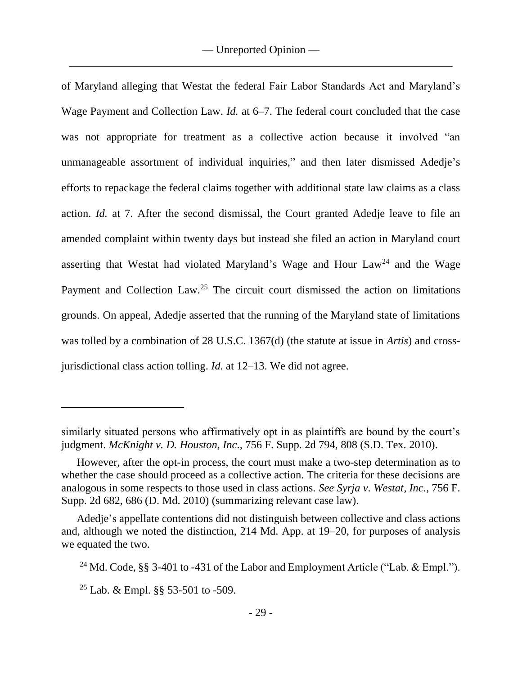of Maryland alleging that Westat the federal Fair Labor Standards Act and Maryland's Wage Payment and Collection Law. *Id.* at 6–7. The federal court concluded that the case was not appropriate for treatment as a collective action because it involved "an unmanageable assortment of individual inquiries," and then later dismissed Adedje's efforts to repackage the federal claims together with additional state law claims as a class action. *Id.* at 7. After the second dismissal, the Court granted Adedje leave to file an amended complaint within twenty days but instead she filed an action in Maryland court asserting that Westat had violated Maryland's Wage and Hour  $Law<sup>24</sup>$  and the Wage Payment and Collection Law.<sup>25</sup> The circuit court dismissed the action on limitations grounds. On appeal, Adedje asserted that the running of the Maryland state of limitations was tolled by a combination of 28 U.S.C. 1367(d) (the statute at issue in *Artis*) and crossjurisdictional class action tolling. *Id.* at 12–13. We did not agree.

similarly situated persons who affirmatively opt in as plaintiffs are bound by the court's judgment. *McKnight v. D. Houston, Inc*., 756 F. Supp. 2d 794, 808 (S.D. Tex. 2010).

However, after the opt-in process, the court must make a two-step determination as to whether the case should proceed as a collective action. The criteria for these decisions are analogous in some respects to those used in class actions. *See Syrja v. Westat, Inc.*, 756 F. Supp. 2d 682, 686 (D. Md. 2010) (summarizing relevant case law).

Adedje's appellate contentions did not distinguish between collective and class actions and, although we noted the distinction, 214 Md. App. at 19–20, for purposes of analysis we equated the two.

<sup>&</sup>lt;sup>24</sup> Md. Code, §§ 3-401 to -431 of the Labor and Employment Article ("Lab. & Empl.").

<sup>&</sup>lt;sup>25</sup> Lab. & Empl.  $\S$ § 53-501 to -509.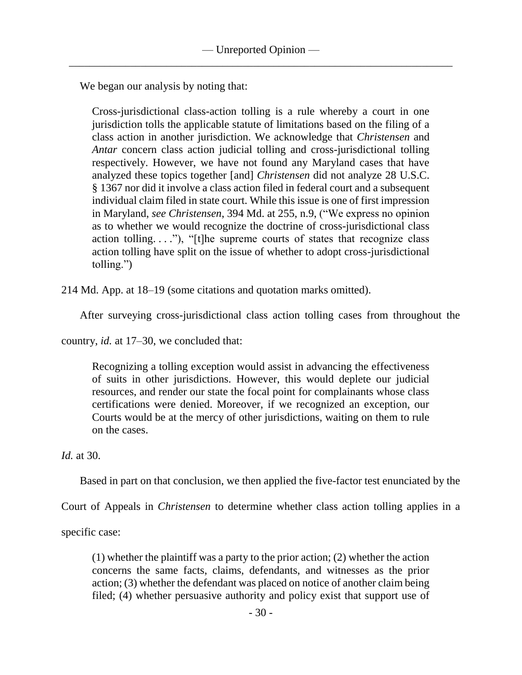We began our analysis by noting that:

Cross-jurisdictional class-action tolling is a rule whereby a court in one jurisdiction tolls the applicable statute of limitations based on the filing of a class action in another jurisdiction. We acknowledge that *Christensen* and *Antar* concern class action judicial tolling and cross-jurisdictional tolling respectively. However, we have not found any Maryland cases that have analyzed these topics together [and] *Christensen* did not analyze 28 U.S.C. § 1367 nor did it involve a class action filed in federal court and a subsequent individual claim filed in state court. While this issue is one of first impression in Maryland, *see Christensen*, 394 Md. at 255, n.9, ("We express no opinion as to whether we would recognize the doctrine of cross-jurisdictional class action tolling...."), "[t]he supreme courts of states that recognize class action tolling have split on the issue of whether to adopt cross-jurisdictional tolling.")

214 Md. App. at 18–19 (some citations and quotation marks omitted).

After surveying cross-jurisdictional class action tolling cases from throughout the

country, *id.* at 17–30, we concluded that:

Recognizing a tolling exception would assist in advancing the effectiveness of suits in other jurisdictions. However, this would deplete our judicial resources, and render our state the focal point for complainants whose class certifications were denied. Moreover, if we recognized an exception, our Courts would be at the mercy of other jurisdictions, waiting on them to rule on the cases.

*Id.* at 30.

Based in part on that conclusion, we then applied the five-factor test enunciated by the

Court of Appeals in *Christensen* to determine whether class action tolling applies in a

specific case:

(1) whether the plaintiff was a party to the prior action; (2) whether the action concerns the same facts, claims, defendants, and witnesses as the prior action; (3) whether the defendant was placed on notice of another claim being filed; (4) whether persuasive authority and policy exist that support use of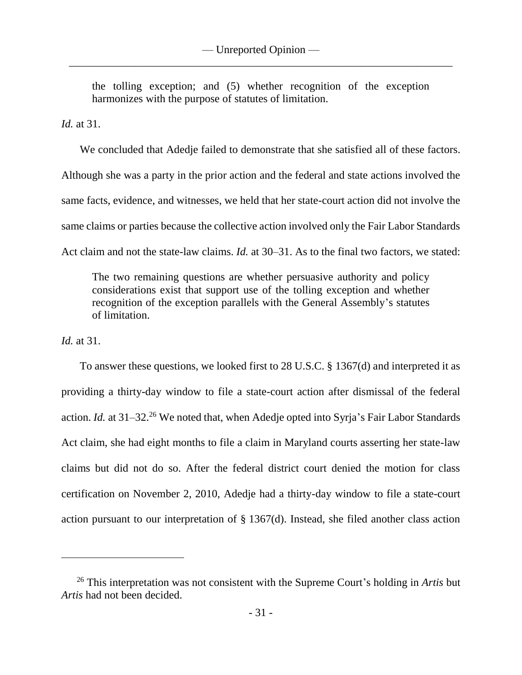the tolling exception; and (5) whether recognition of the exception harmonizes with the purpose of statutes of limitation.

*Id.* at 31.

We concluded that Adedje failed to demonstrate that she satisfied all of these factors. Although she was a party in the prior action and the federal and state actions involved the same facts, evidence, and witnesses, we held that her state-court action did not involve the same claims or parties because the collective action involved only the Fair Labor Standards Act claim and not the state-law claims. *Id.* at 30–31. As to the final two factors, we stated:

The two remaining questions are whether persuasive authority and policy considerations exist that support use of the tolling exception and whether recognition of the exception parallels with the General Assembly's statutes of limitation.

*Id.* at 31.

To answer these questions, we looked first to 28 U.S.C. § 1367(d) and interpreted it as providing a thirty-day window to file a state-court action after dismissal of the federal action. *Id.* at 31–32.<sup>26</sup> We noted that, when Adedje opted into Syrja's Fair Labor Standards Act claim, she had eight months to file a claim in Maryland courts asserting her state-law claims but did not do so. After the federal district court denied the motion for class certification on November 2, 2010, Adedje had a thirty-day window to file a state-court action pursuant to our interpretation of § 1367(d). Instead, she filed another class action

<sup>26</sup> This interpretation was not consistent with the Supreme Court's holding in *Artis* but *Artis* had not been decided.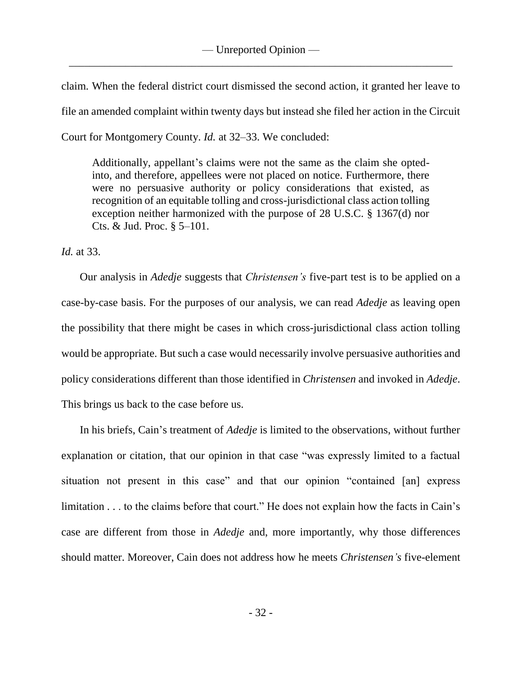claim. When the federal district court dismissed the second action, it granted her leave to file an amended complaint within twenty days but instead she filed her action in the Circuit Court for Montgomery County. *Id.* at 32–33. We concluded:

Additionally, appellant's claims were not the same as the claim she optedinto, and therefore, appellees were not placed on notice. Furthermore, there were no persuasive authority or policy considerations that existed, as recognition of an equitable tolling and cross-jurisdictional class action tolling exception neither harmonized with the purpose of 28 U.S.C. § 1367(d) nor Cts. & Jud. Proc. § 5–101.

*Id.* at 33.

Our analysis in *Adedje* suggests that *Christensen's* five-part test is to be applied on a case-by-case basis. For the purposes of our analysis, we can read *Adedje* as leaving open the possibility that there might be cases in which cross-jurisdictional class action tolling would be appropriate. But such a case would necessarily involve persuasive authorities and policy considerations different than those identified in *Christensen* and invoked in *Adedje*. This brings us back to the case before us.

In his briefs, Cain's treatment of *Adedje* is limited to the observations, without further explanation or citation, that our opinion in that case "was expressly limited to a factual situation not present in this case" and that our opinion "contained [an] express limitation . . . to the claims before that court." He does not explain how the facts in Cain's case are different from those in *Adedje* and, more importantly, why those differences should matter. Moreover, Cain does not address how he meets *Christensen's* five-element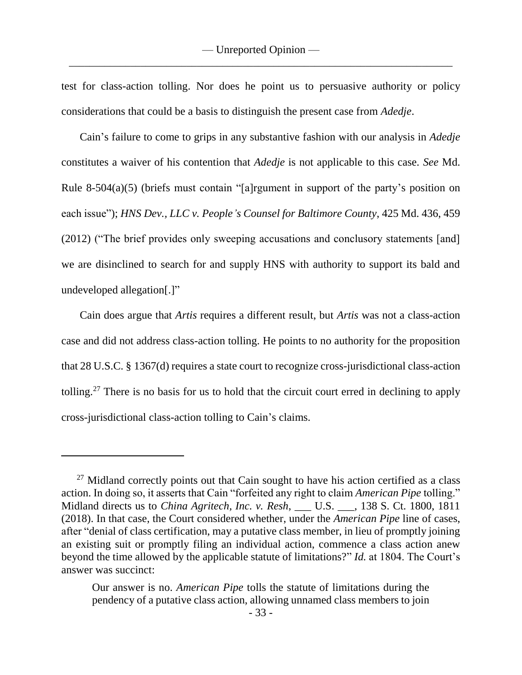test for class-action tolling. Nor does he point us to persuasive authority or policy considerations that could be a basis to distinguish the present case from *Adedje*.

Cain's failure to come to grips in any substantive fashion with our analysis in *Adedje*  constitutes a waiver of his contention that *Adedje* is not applicable to this case. *See* Md. Rule 8-504(a)(5) (briefs must contain "[a]rgument in support of the party's position on each issue"); *HNS Dev., LLC v. People's Counsel for Baltimore County*, 425 Md. 436, 459 (2012) ("The brief provides only sweeping accusations and conclusory statements [and] we are disinclined to search for and supply HNS with authority to support its bald and undeveloped allegation[.]"

Cain does argue that *Artis* requires a different result, but *Artis* was not a class-action case and did not address class-action tolling. He points to no authority for the proposition that 28 U.S.C. § 1367(d) requires a state court to recognize cross-jurisdictional class-action tolling.<sup>27</sup> There is no basis for us to hold that the circuit court erred in declining to apply cross-jurisdictional class-action tolling to Cain's claims.

 $27$  Midland correctly points out that Cain sought to have his action certified as a class action. In doing so, it asserts that Cain "forfeited any right to claim *American Pipe* tolling." Midland directs us to *China Agritech, Inc. v. Resh*, \_\_\_ U.S. \_\_\_, 138 S. Ct. 1800, 1811 (2018). In that case, the Court considered whether, under the *American Pipe* line of cases, after "denial of class certification, may a putative class member, in lieu of promptly joining an existing suit or promptly filing an individual action, commence a class action anew beyond the time allowed by the applicable statute of limitations?" *Id.* at 1804. The Court's answer was succinct:

Our answer is no. *American Pipe* tolls the statute of limitations during the pendency of a putative class action, allowing unnamed class members to join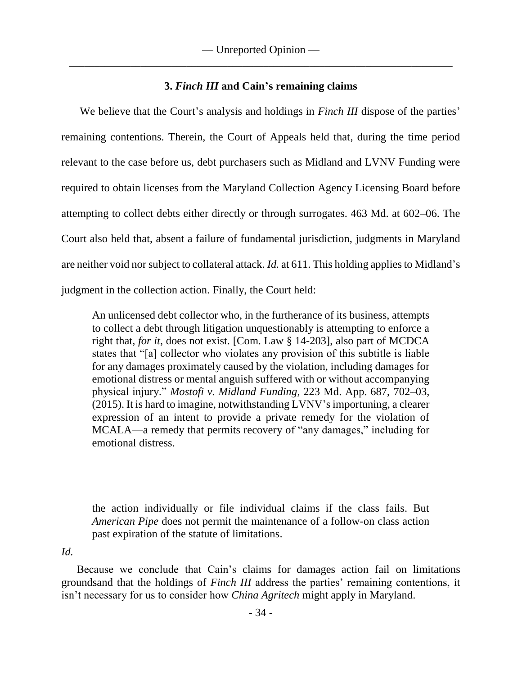# **3.** *Finch III* **and Cain's remaining claims**

We believe that the Court's analysis and holdings in *Finch III* dispose of the parties' remaining contentions. Therein, the Court of Appeals held that, during the time period relevant to the case before us, debt purchasers such as Midland and LVNV Funding were required to obtain licenses from the Maryland Collection Agency Licensing Board before attempting to collect debts either directly or through surrogates. 463 Md. at 602–06. The Court also held that, absent a failure of fundamental jurisdiction, judgments in Maryland are neither void nor subject to collateral attack. *Id.* at 611. This holding applies to Midland's judgment in the collection action. Finally, the Court held:

An unlicensed debt collector who, in the furtherance of its business, attempts to collect a debt through litigation unquestionably is attempting to enforce a right that, *for it*, does not exist. [Com. Law § 14-203], also part of MCDCA states that "[a] collector who violates any provision of this subtitle is liable for any damages proximately caused by the violation, including damages for emotional distress or mental anguish suffered with or without accompanying physical injury." *Mostofi v. Midland Funding*, 223 Md. App. 687, 702–03, (2015). It is hard to imagine, notwithstanding LVNV's importuning, a clearer expression of an intent to provide a private remedy for the violation of MCALA—a remedy that permits recovery of "any damages," including for emotional distress.

*Id.* 

the action individually or file individual claims if the class fails. But *American Pipe* does not permit the maintenance of a follow-on class action past expiration of the statute of limitations.

Because we conclude that Cain's claims for damages action fail on limitations groundsand that the holdings of *Finch III* address the parties' remaining contentions, it isn't necessary for us to consider how *China Agritech* might apply in Maryland.